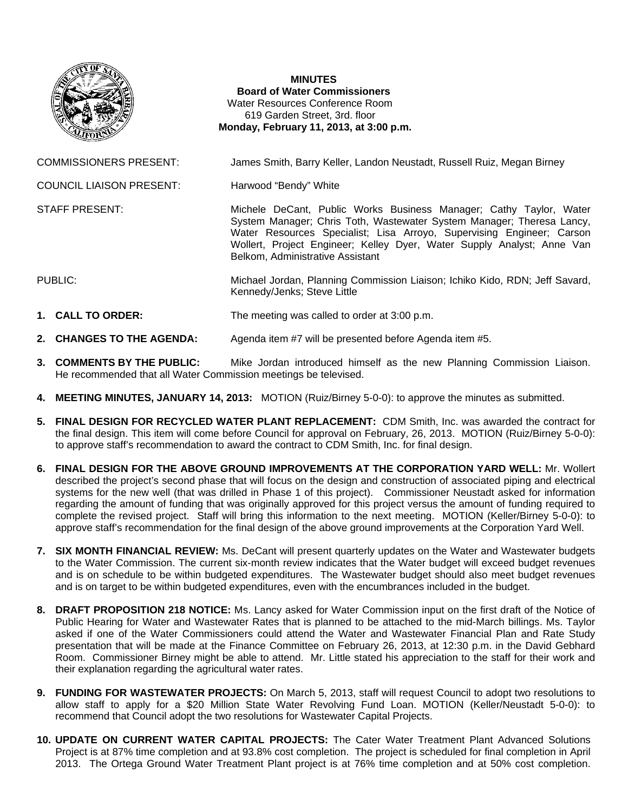

## **MINUTES Board of Water Commissioners**  Water Resources Conference Room 619 Garden Street, 3rd. floor  **Monday, February 11, 2013, at 3:00 p.m.**

COMMISSIONERS PRESENT: James Smith, Barry Keller, Landon Neustadt, Russell Ruiz, Megan Birney

Belkom, Administrative Assistant

COUNCIL LIAISON PRESENT: Harwood "Bendy" White

STAFF PRESENT: Michele DeCant, Public Works Business Manager; Cathy Taylor, Water

PUBLIC: Michael Jordan, Planning Commission Liaison; Ichiko Kido, RDN; Jeff Savard, Kennedy/Jenks; Steve Little

System Manager; Chris Toth, Wastewater System Manager; Theresa Lancy, Water Resources Specialist; Lisa Arroyo, Supervising Engineer; Carson Wollert, Project Engineer; Kelley Dyer, Water Supply Analyst; Anne Van

- **1. CALL TO ORDER:** The meeting was called to order at 3:00 p.m.
- **2. CHANGES TO THE AGENDA:** Agenda item #7 will be presented before Agenda item #5.
- **3. COMMENTS BY THE PUBLIC:** Mike Jordan introduced himself as the new Planning Commission Liaison. He recommended that all Water Commission meetings be televised.
- **4. MEETING MINUTES, JANUARY 14, 2013:** MOTION (Ruiz/Birney 5-0-0): to approve the minutes as submitted.
- **5. FINAL DESIGN FOR RECYCLED WATER PLANT REPLACEMENT:** CDM Smith, Inc. was awarded the contract for the final design. This item will come before Council for approval on February, 26, 2013. MOTION (Ruiz/Birney 5-0-0): to approve staff's recommendation to award the contract to CDM Smith, Inc. for final design.
- **6. FINAL DESIGN FOR THE ABOVE GROUND IMPROVEMENTS AT THE CORPORATION YARD WELL:** Mr. Wollert described the project's second phase that will focus on the design and construction of associated piping and electrical systems for the new well (that was drilled in Phase 1 of this project). Commissioner Neustadt asked for information regarding the amount of funding that was originally approved for this project versus the amount of funding required to complete the revised project. Staff will bring this information to the next meeting. MOTION (Keller/Birney 5-0-0): to approve staff's recommendation for the final design of the above ground improvements at the Corporation Yard Well.
- **7. SIX MONTH FINANCIAL REVIEW:** Ms. DeCant will present quarterly updates on the Water and Wastewater budgets to the Water Commission. The current six-month review indicates that the Water budget will exceed budget revenues and is on schedule to be within budgeted expenditures. The Wastewater budget should also meet budget revenues and is on target to be within budgeted expenditures, even with the encumbrances included in the budget.
- **8. DRAFT PROPOSITION 218 NOTICE:** Ms. Lancy asked for Water Commission input on the first draft of the Notice of Public Hearing for Water and Wastewater Rates that is planned to be attached to the mid-March billings. Ms. Taylor asked if one of the Water Commissioners could attend the Water and Wastewater Financial Plan and Rate Study presentation that will be made at the Finance Committee on February 26, 2013, at 12:30 p.m. in the David Gebhard Room. Commissioner Birney might be able to attend. Mr. Little stated his appreciation to the staff for their work and their explanation regarding the agricultural water rates.
- **9. FUNDING FOR WASTEWATER PROJECTS:** On March 5, 2013, staff will request Council to adopt two resolutions to allow staff to apply for a \$20 Million State Water Revolving Fund Loan. MOTION (Keller/Neustadt 5-0-0): to recommend that Council adopt the two resolutions for Wastewater Capital Projects.
- **10. UPDATE ON CURRENT WATER CAPITAL PROJECTS:** The Cater Water Treatment Plant Advanced Solutions Project is at 87% time completion and at 93.8% cost completion. The project is scheduled for final completion in April 2013. The Ortega Ground Water Treatment Plant project is at 76% time completion and at 50% cost completion.